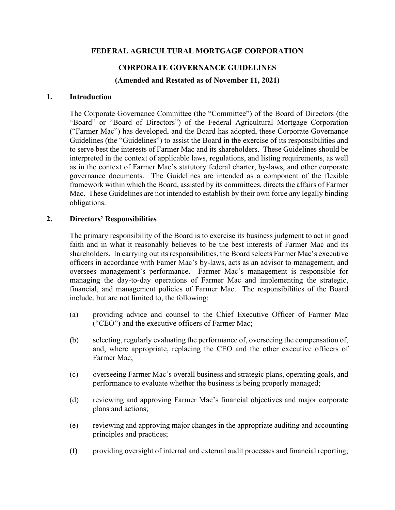## **FEDERAL AGRICULTURAL MORTGAGE CORPORATION**

### **CORPORATE GOVERNANCE GUIDELINES**

**(Amended and Restated as of November 11, 2021)**

#### **1. Introduction**

The Corporate Governance Committee (the "Committee") of the Board of Directors (the "Board" or "Board of Directors") of the Federal Agricultural Mortgage Corporation ("Farmer Mac") has developed, and the Board has adopted, these Corporate Governance Guidelines (the "Guidelines") to assist the Board in the exercise of its responsibilities and to serve best the interests of Farmer Mac and its shareholders. These Guidelines should be interpreted in the context of applicable laws, regulations, and listing requirements, as well as in the context of Farmer Mac's statutory federal charter, by-laws, and other corporate governance documents. The Guidelines are intended as a component of the flexible framework within which the Board, assisted by its committees, directs the affairs of Farmer Mac. These Guidelines are not intended to establish by their own force any legally binding obligations.

### **2. Directors' Responsibilities**

The primary responsibility of the Board is to exercise its business judgment to act in good faith and in what it reasonably believes to be the best interests of Farmer Mac and its shareholders. In carrying out its responsibilities, the Board selects Farmer Mac's executive officers in accordance with Famer Mac's by-laws, acts as an advisor to management, and oversees management's performance. Farmer Mac's management is responsible for managing the day-to-day operations of Farmer Mac and implementing the strategic, financial, and management policies of Farmer Mac. The responsibilities of the Board include, but are not limited to, the following:

- (a) providing advice and counsel to the Chief Executive Officer of Farmer Mac ("CEO") and the executive officers of Farmer Mac;
- (b) selecting, regularly evaluating the performance of, overseeing the compensation of, and, where appropriate, replacing the CEO and the other executive officers of Farmer Mac;
- (c) overseeing Farmer Mac's overall business and strategic plans, operating goals, and performance to evaluate whether the business is being properly managed;
- (d) reviewing and approving Farmer Mac's financial objectives and major corporate plans and actions;
- (e) reviewing and approving major changes in the appropriate auditing and accounting principles and practices;
- (f) providing oversight of internal and external audit processes and financial reporting;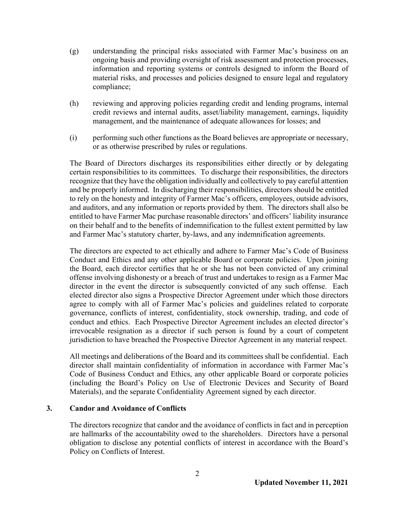- (g) understanding the principal risks associated with Farmer Mac's business on an ongoing basis and providing oversight of risk assessment and protection processes, information and reporting systems or controls designed to inform the Board of material risks, and processes and policies designed to ensure legal and regulatory compliance;
- (h) reviewing and approving policies regarding credit and lending programs, internal credit reviews and internal audits, asset/liability management, earnings, liquidity management, and the maintenance of adequate allowances for losses; and
- (i) performing such other functions as the Board believes are appropriate or necessary, or as otherwise prescribed by rules or regulations.

The Board of Directors discharges its responsibilities either directly or by delegating certain responsibilities to its committees. To discharge their responsibilities, the directors recognize that they have the obligation individually and collectively to pay careful attention and be properly informed. In discharging their responsibilities, directors should be entitled to rely on the honesty and integrity of Farmer Mac's officers, employees, outside advisors, and auditors, and any information or reports provided by them. The directors shall also be entitled to have Farmer Mac purchase reasonable directors' and officers' liability insurance on their behalf and to the benefits of indemnification to the fullest extent permitted by law and Farmer Mac's statutory charter, by-laws, and any indemnification agreements.

The directors are expected to act ethically and adhere to Farmer Mac's Code of Business Conduct and Ethics and any other applicable Board or corporate policies. Upon joining the Board, each director certifies that he or she has not been convicted of any criminal offense involving dishonesty or a breach of trust and undertakes to resign as a Farmer Mac director in the event the director is subsequently convicted of any such offense. Each elected director also signs a Prospective Director Agreement under which those directors agree to comply with all of Farmer Mac's policies and guidelines related to corporate governance, conflicts of interest, confidentiality, stock ownership, trading, and code of conduct and ethics. Each Prospective Director Agreement includes an elected director's irrevocable resignation as a director if such person is found by a court of competent jurisdiction to have breached the Prospective Director Agreement in any material respect.

All meetings and deliberations of the Board and its committees shall be confidential. Each director shall maintain confidentiality of information in accordance with Farmer Mac's Code of Business Conduct and Ethics, any other applicable Board or corporate policies (including the Board's Policy on Use of Electronic Devices and Security of Board Materials), and the separate Confidentiality Agreement signed by each director.

### **3. Candor and Avoidance of Conflicts**

The directors recognize that candor and the avoidance of conflicts in fact and in perception are hallmarks of the accountability owed to the shareholders. Directors have a personal obligation to disclose any potential conflicts of interest in accordance with the Board's Policy on Conflicts of Interest.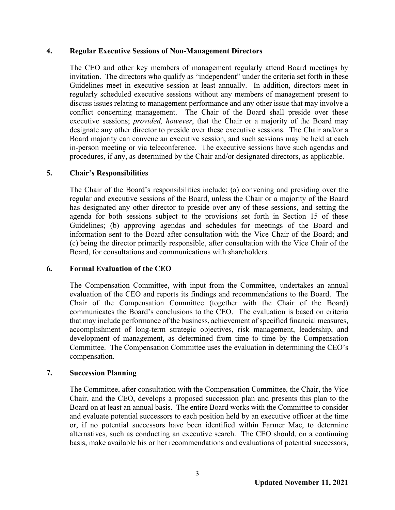#### **4. Regular Executive Sessions of Non-Management Directors**

The CEO and other key members of management regularly attend Board meetings by invitation. The directors who qualify as "independent" under the criteria set forth in these Guidelines meet in executive session at least annually. In addition, directors meet in regularly scheduled executive sessions without any members of management present to discuss issues relating to management performance and any other issue that may involve a conflict concerning management. The Chair of the Board shall preside over these executive sessions; *provided, however*, that the Chair or a majority of the Board may designate any other director to preside over these executive sessions. The Chair and/or a Board majority can convene an executive session, and such sessions may be held at each in-person meeting or via teleconference. The executive sessions have such agendas and procedures, if any, as determined by the Chair and/or designated directors, as applicable.

## **5. Chair's Responsibilities**

The Chair of the Board's responsibilities include: (a) convening and presiding over the regular and executive sessions of the Board, unless the Chair or a majority of the Board has designated any other director to preside over any of these sessions, and setting the agenda for both sessions subject to the provisions set forth in Section 15 of these Guidelines; (b) approving agendas and schedules for meetings of the Board and information sent to the Board after consultation with the Vice Chair of the Board; and (c) being the director primarily responsible, after consultation with the Vice Chair of the Board, for consultations and communications with shareholders.

### **6. Formal Evaluation of the CEO**

The Compensation Committee, with input from the Committee, undertakes an annual evaluation of the CEO and reports its findings and recommendations to the Board. The Chair of the Compensation Committee (together with the Chair of the Board) communicates the Board's conclusions to the CEO. The evaluation is based on criteria that may include performance of the business, achievement of specified financial measures, accomplishment of long-term strategic objectives, risk management, leadership, and development of management, as determined from time to time by the Compensation Committee. The Compensation Committee uses the evaluation in determining the CEO's compensation.

### **7. Succession Planning**

The Committee, after consultation with the Compensation Committee, the Chair, the Vice Chair, and the CEO, develops a proposed succession plan and presents this plan to the Board on at least an annual basis. The entire Board works with the Committee to consider and evaluate potential successors to each position held by an executive officer at the time or, if no potential successors have been identified within Farmer Mac, to determine alternatives, such as conducting an executive search. The CEO should, on a continuing basis, make available his or her recommendations and evaluations of potential successors,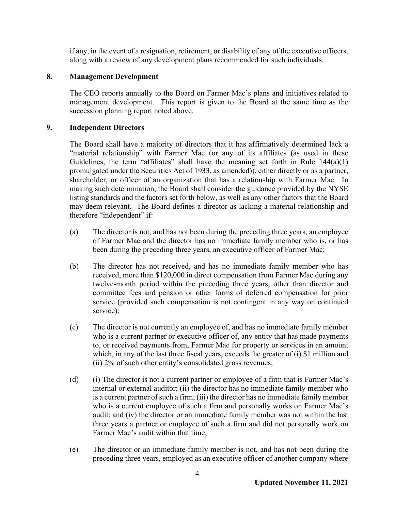if any, in the event of a resignation, retirement, or disability of any of the executive officers, along with a review of any development plans recommended for such individuals.

## **8. Management Development**

The CEO reports annually to the Board on Farmer Mac's plans and initiatives related to management development. This report is given to the Board at the same time as the succession planning report noted above.

## **9. Independent Directors**

The Board shall have a majority of directors that it has affirmatively determined lack a "material relationship" with Farmer Mac (or any of its affiliates (as used in these Guidelines, the term "affiliates" shall have the meaning set forth in Rule  $144(a)(1)$ promulgated under the Securities Act of 1933, as amended)), either directly or as a partner, shareholder, or officer of an organization that has a relationship with Farmer Mac. In making such determination, the Board shall consider the guidance provided by the NYSE listing standards and the factors set forth below, as well as any other factors that the Board may deem relevant. The Board defines a director as lacking a material relationship and therefore "independent" if:

- (a) The director is not, and has not been during the preceding three years, an employee of Farmer Mac and the director has no immediate family member who is, or has been during the preceding three years, an executive officer of Farmer Mac;
- (b) The director has not received, and has no immediate family member who has received, more than \$120,000 in direct compensation from Farmer Mac during any twelve-month period within the preceding three years, other than director and committee fees and pension or other forms of deferred compensation for prior service (provided such compensation is not contingent in any way on continued service);
- (c) The director is not currently an employee of, and has no immediate family member who is a current partner or executive officer of, any entity that has made payments to, or received payments from, Farmer Mac for property or services in an amount which, in any of the last three fiscal years, exceeds the greater of (i) \$1 million and (ii) 2% of such other entity's consolidated gross revenues;
- (d) (i) The director is not a current partner or employee of a firm that is Farmer Mac's internal or external auditor; (ii) the director has no immediate family member who is a current partner of such a firm; (iii) the director has no immediate family member who is a current employee of such a firm and personally works on Farmer Mac's audit; and (iv) the director or an immediate family member was not within the last three years a partner or employee of such a firm and did not personally work on Farmer Mac's audit within that time;
- (e) The director or an immediate family member is not, and has not been during the preceding three years, employed as an executive officer of another company where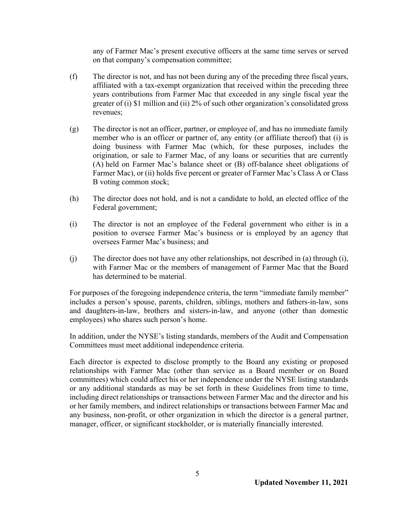any of Farmer Mac's present executive officers at the same time serves or served on that company's compensation committee;

- (f) The director is not, and has not been during any of the preceding three fiscal years, affiliated with a tax-exempt organization that received within the preceding three years contributions from Farmer Mac that exceeded in any single fiscal year the greater of (i) \$1 million and (ii) 2% of such other organization's consolidated gross revenues;
- (g) The director is not an officer, partner, or employee of, and has no immediate family member who is an officer or partner of, any entity (or affiliate thereof) that (i) is doing business with Farmer Mac (which, for these purposes, includes the origination, or sale to Farmer Mac, of any loans or securities that are currently (A) held on Farmer Mac's balance sheet or (B) off-balance sheet obligations of Farmer Mac), or (ii) holds five percent or greater of Farmer Mac's Class A or Class B voting common stock;
- (h) The director does not hold, and is not a candidate to hold, an elected office of the Federal government;
- (i) The director is not an employee of the Federal government who either is in a position to oversee Farmer Mac's business or is employed by an agency that oversees Farmer Mac's business; and
- (j) The director does not have any other relationships, not described in (a) through (i), with Farmer Mac or the members of management of Farmer Mac that the Board has determined to be material.

For purposes of the foregoing independence criteria, the term "immediate family member" includes a person's spouse, parents, children, siblings, mothers and fathers-in-law, sons and daughters-in-law, brothers and sisters-in-law, and anyone (other than domestic employees) who shares such person's home.

In addition, under the NYSE's listing standards, members of the Audit and Compensation Committees must meet additional independence criteria.

Each director is expected to disclose promptly to the Board any existing or proposed relationships with Farmer Mac (other than service as a Board member or on Board committees) which could affect his or her independence under the NYSE listing standards or any additional standards as may be set forth in these Guidelines from time to time, including direct relationships or transactions between Farmer Mac and the director and his or her family members, and indirect relationships or transactions between Farmer Mac and any business, non-profit, or other organization in which the director is a general partner, manager, officer, or significant stockholder, or is materially financially interested.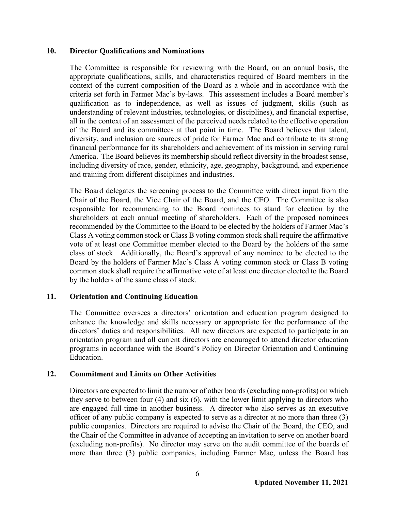#### **10. Director Qualifications and Nominations**

The Committee is responsible for reviewing with the Board, on an annual basis, the appropriate qualifications, skills, and characteristics required of Board members in the context of the current composition of the Board as a whole and in accordance with the criteria set forth in Farmer Mac's by-laws. This assessment includes a Board member's qualification as to independence, as well as issues of judgment, skills (such as understanding of relevant industries, technologies, or disciplines), and financial expertise, all in the context of an assessment of the perceived needs related to the effective operation of the Board and its committees at that point in time. The Board believes that talent, diversity, and inclusion are sources of pride for Farmer Mac and contribute to its strong financial performance for its shareholders and achievement of its mission in serving rural America. The Board believes its membership should reflect diversity in the broadest sense, including diversity of race, gender, ethnicity, age, geography, background, and experience and training from different disciplines and industries.

The Board delegates the screening process to the Committee with direct input from the Chair of the Board, the Vice Chair of the Board, and the CEO. The Committee is also responsible for recommending to the Board nominees to stand for election by the shareholders at each annual meeting of shareholders. Each of the proposed nominees recommended by the Committee to the Board to be elected by the holders of Farmer Mac's Class A voting common stock or Class B voting common stock shall require the affirmative vote of at least one Committee member elected to the Board by the holders of the same class of stock. Additionally, the Board's approval of any nominee to be elected to the Board by the holders of Farmer Mac's Class A voting common stock or Class B voting common stock shall require the affirmative vote of at least one director elected to the Board by the holders of the same class of stock.

### **11. Orientation and Continuing Education**

The Committee oversees a directors' orientation and education program designed to enhance the knowledge and skills necessary or appropriate for the performance of the directors' duties and responsibilities. All new directors are expected to participate in an orientation program and all current directors are encouraged to attend director education programs in accordance with the Board's Policy on Director Orientation and Continuing Education.

### **12. Commitment and Limits on Other Activities**

Directors are expected to limit the number of other boards (excluding non-profits) on which they serve to between four (4) and six (6), with the lower limit applying to directors who are engaged full-time in another business. A director who also serves as an executive officer of any public company is expected to serve as a director at no more than three (3) public companies. Directors are required to advise the Chair of the Board, the CEO, and the Chair of the Committee in advance of accepting an invitation to serve on another board (excluding non-profits). No director may serve on the audit committee of the boards of more than three (3) public companies, including Farmer Mac, unless the Board has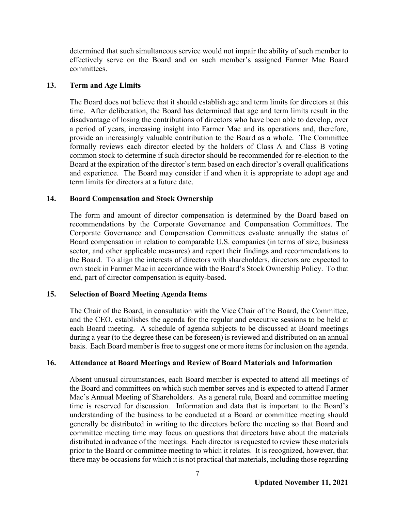determined that such simultaneous service would not impair the ability of such member to effectively serve on the Board and on such member's assigned Farmer Mac Board committees.

### **13. Term and Age Limits**

The Board does not believe that it should establish age and term limits for directors at this time. After deliberation, the Board has determined that age and term limits result in the disadvantage of losing the contributions of directors who have been able to develop, over a period of years, increasing insight into Farmer Mac and its operations and, therefore, provide an increasingly valuable contribution to the Board as a whole. The Committee formally reviews each director elected by the holders of Class A and Class B voting common stock to determine if such director should be recommended for re-election to the Board at the expiration of the director's term based on each director's overall qualifications and experience. The Board may consider if and when it is appropriate to adopt age and term limits for directors at a future date.

## **14. Board Compensation and Stock Ownership**

The form and amount of director compensation is determined by the Board based on recommendations by the Corporate Governance and Compensation Committees. The Corporate Governance and Compensation Committees evaluate annually the status of Board compensation in relation to comparable U.S. companies (in terms of size, business sector, and other applicable measures) and report their findings and recommendations to the Board. To align the interests of directors with shareholders, directors are expected to own stock in Farmer Mac in accordance with the Board's Stock Ownership Policy. To that end, part of director compensation is equity-based.

# **15. Selection of Board Meeting Agenda Items**

The Chair of the Board, in consultation with the Vice Chair of the Board, the Committee, and the CEO, establishes the agenda for the regular and executive sessions to be held at each Board meeting. A schedule of agenda subjects to be discussed at Board meetings during a year (to the degree these can be foreseen) is reviewed and distributed on an annual basis. Each Board member is free to suggest one or more items for inclusion on the agenda.

### **16. Attendance at Board Meetings and Review of Board Materials and Information**

Absent unusual circumstances, each Board member is expected to attend all meetings of the Board and committees on which such member serves and is expected to attend Farmer Mac's Annual Meeting of Shareholders. As a general rule, Board and committee meeting time is reserved for discussion. Information and data that is important to the Board's understanding of the business to be conducted at a Board or committee meeting should generally be distributed in writing to the directors before the meeting so that Board and committee meeting time may focus on questions that directors have about the materials distributed in advance of the meetings. Each director is requested to review these materials prior to the Board or committee meeting to which it relates. It is recognized, however, that there may be occasions for which it is not practical that materials, including those regarding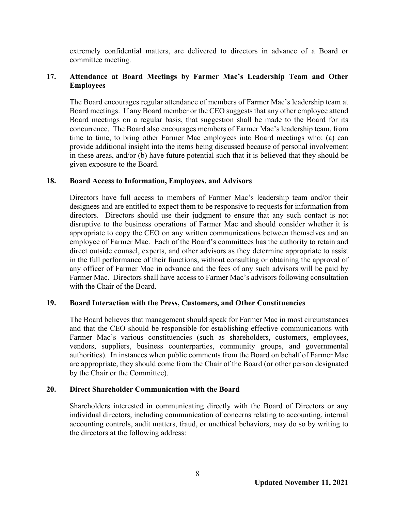extremely confidential matters, are delivered to directors in advance of a Board or committee meeting.

## **17. Attendance at Board Meetings by Farmer Mac's Leadership Team and Other Employees**

The Board encourages regular attendance of members of Farmer Mac's leadership team at Board meetings. If any Board member or the CEO suggests that any other employee attend Board meetings on a regular basis, that suggestion shall be made to the Board for its concurrence. The Board also encourages members of Farmer Mac's leadership team, from time to time, to bring other Farmer Mac employees into Board meetings who: (a) can provide additional insight into the items being discussed because of personal involvement in these areas, and/or (b) have future potential such that it is believed that they should be given exposure to the Board.

### **18. Board Access to Information, Employees, and Advisors**

Directors have full access to members of Farmer Mac's leadership team and/or their designees and are entitled to expect them to be responsive to requests for information from directors. Directors should use their judgment to ensure that any such contact is not disruptive to the business operations of Farmer Mac and should consider whether it is appropriate to copy the CEO on any written communications between themselves and an employee of Farmer Mac. Each of the Board's committees has the authority to retain and direct outside counsel, experts, and other advisors as they determine appropriate to assist in the full performance of their functions, without consulting or obtaining the approval of any officer of Farmer Mac in advance and the fees of any such advisors will be paid by Farmer Mac. Directors shall have access to Farmer Mac's advisors following consultation with the Chair of the Board.

### **19. Board Interaction with the Press, Customers, and Other Constituencies**

The Board believes that management should speak for Farmer Mac in most circumstances and that the CEO should be responsible for establishing effective communications with Farmer Mac's various constituencies (such as shareholders, customers, employees, vendors, suppliers, business counterparties, community groups, and governmental authorities). In instances when public comments from the Board on behalf of Farmer Mac are appropriate, they should come from the Chair of the Board (or other person designated by the Chair or the Committee).

### **20. Direct Shareholder Communication with the Board**

Shareholders interested in communicating directly with the Board of Directors or any individual directors, including communication of concerns relating to accounting, internal accounting controls, audit matters, fraud, or unethical behaviors, may do so by writing to the directors at the following address: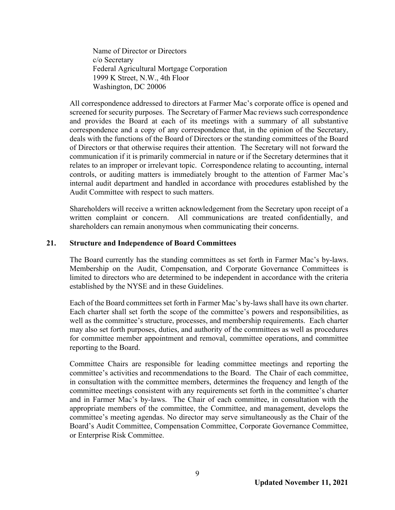Name of Director or Directors c/o Secretary Federal Agricultural Mortgage Corporation 1999 K Street, N.W., 4th Floor Washington, DC 20006

All correspondence addressed to directors at Farmer Mac's corporate office is opened and screened for security purposes. The Secretary of Farmer Mac reviews such correspondence and provides the Board at each of its meetings with a summary of all substantive correspondence and a copy of any correspondence that, in the opinion of the Secretary, deals with the functions of the Board of Directors or the standing committees of the Board of Directors or that otherwise requires their attention. The Secretary will not forward the communication if it is primarily commercial in nature or if the Secretary determines that it relates to an improper or irrelevant topic. Correspondence relating to accounting, internal controls, or auditing matters is immediately brought to the attention of Farmer Mac's internal audit department and handled in accordance with procedures established by the Audit Committee with respect to such matters.

Shareholders will receive a written acknowledgement from the Secretary upon receipt of a written complaint or concern. All communications are treated confidentially, and shareholders can remain anonymous when communicating their concerns.

#### **21. Structure and Independence of Board Committees**

The Board currently has the standing committees as set forth in Farmer Mac's by-laws. Membership on the Audit, Compensation, and Corporate Governance Committees is limited to directors who are determined to be independent in accordance with the criteria established by the NYSE and in these Guidelines.

Each of the Board committees set forth in Farmer Mac's by-laws shall have its own charter. Each charter shall set forth the scope of the committee's powers and responsibilities, as well as the committee's structure, processes, and membership requirements. Each charter may also set forth purposes, duties, and authority of the committees as well as procedures for committee member appointment and removal, committee operations, and committee reporting to the Board.

Committee Chairs are responsible for leading committee meetings and reporting the committee's activities and recommendations to the Board. The Chair of each committee, in consultation with the committee members, determines the frequency and length of the committee meetings consistent with any requirements set forth in the committee's charter and in Farmer Mac's by-laws. The Chair of each committee, in consultation with the appropriate members of the committee, the Committee, and management, develops the committee's meeting agendas. No director may serve simultaneously as the Chair of the Board's Audit Committee, Compensation Committee, Corporate Governance Committee, or Enterprise Risk Committee.